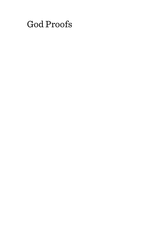# God Proofs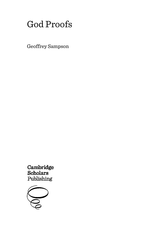## God Proofs

Geoffrey Sampson

**Cambridge**<br>Scholars Publishing

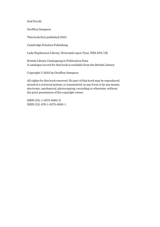God Proofs

Geoffrey Sampson

This book first published 2022

Cambridge Scholars Publishing

Lady Stephenson Library, Newcastle upon Tyne, NE6 2PA, UK

British Library Cataloguing in Publication Data A catalogue record for this book is available from the British Library

Copyright © 2022 by Geoffrey Sampson

All rights for this book reserved. No part of this book may be reproduced, stored in a retrieval system, or transmitted, in any form or by any means, electronic, mechanical, photocopying, recording or otherwise, without the prior permission of the copyright owner.

ISBN (10): 1-5275-8562-X ISBN (13): 978-1-5275-8562-1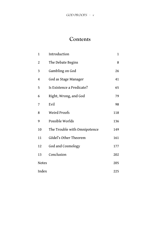## **Contents**

| 1            | Introduction                 | 1   |
|--------------|------------------------------|-----|
| 2            | The Debate Begins            | 8   |
| 3            | Gambling on God              | 26  |
| 4            | God as Stage Manager         | 41  |
| 5            | Is Existence a Predicate?    | 65  |
| 6            | Right, Wrong, and God        | 79  |
| 7            | Evil                         | 98  |
| 8            | Weird Proofs                 | 118 |
| 9            | Possible Worlds              | 136 |
| 10           | The Trouble with Omnipotence | 149 |
| 11           | Gödel's Other Theorem        | 161 |
| 12           | God and Cosmology            | 177 |
| 13           | Conclusion                   | 202 |
| <b>Notes</b> |                              | 205 |
| Index        |                              | 225 |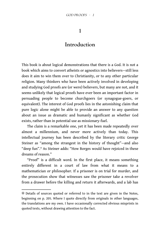#### **1**

### **Introduction**

This book is about logical demonstrations that there is a God. It is not a book which aims to convert atheists or agnostics into believers—still less does it aim to win them over to Christianity, or to any other particular religion. Many thinkers who have been actively involved in developing and studying God proofs are (or were) believers, but many are not, and it seems unlikely that logical proofs have ever been an important factor in persuading people to become churchgoers (or synagogue-goers, or equivalent). The interest of God proofs lies in the astonishing claim that pure logic alone might be able to provide an answer to any question about an issue as dramatic and humanly significant as whether God exists, rather than in potential use as missionary-fuel.

The claim is a remarkable one, yet it has been made repeatedly over almost a millennium, and never more actively than today. This intellectual journey has been described by the literary critic George Steiner as "among the strangest in the history of thought"—and also "deep fun".✻ As Steiner adds: "How Borges would have rejoiced in these dreams of reason."

"Proof" is a difficult word. In the first place, it means something entirely diferent in a court of law from what it means to a mathematician or philosopher. If a prisoner is on trial for murder, and the prosecution show that witnesses saw the prisoner take a revolver from a drawer before the killing and return it afterwards, and a lab has

<sup>✻</sup> Details of sources quoted or referred to in the text are given in the Notes, beginning on p. 205. Where I quote directly from originals in other languages, the translations are my own. I have occasionally corrected obvious misprints in quoted texts, without drawing attention to the fact.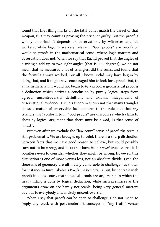found that the rifing marks on the fatal bullet match the barrel of that weapon, this may count as proving the prisoner guilty. But the proof is wholly empirical—it depends on observations, by witnesses and lab workers, while logic is scarcely relevant. "God proofs" are proofs or would-be proofs in the mathematical sense, where logic matters and observation does not. When we say that Euclid proved that the angles of a triangle add up to two right-angles (that is, 180 degrees), we do not mean that he measured a lot of triangles, did the sums, and found that the formula always worked. For all I know Euclid may have begun by doing that, and it might have encouraged him to look for a proof—but, to a mathematician, it would not begin to *be* a proof. A geometrical proof is a deduction which derives a conclusion by purely logical steps from agreed, uncontroversial defnitions and axioms, independent of observational evidence. Euclid's theorem shows not that many triangles do as a matter of observable fact conform to the rule, but that *any* triangle *must* conform to it. "God proofs" are discourses which claim to show by logical argument that there *must* be a God, in that sense of "must".

But even after we exclude the "law court" sense of proof, the term is still problematic. We are brought up to think there is a sharp distinction between facts that we have good reason to believe, but could possibly turn out to be wrong, and facts that have been *proved* true, so that it is pointless even to consider whether they might be wrong. However, this distinction is one of more versus less, not an absolute divide. Even the theorems of geometry are ultimately vulnerable to challenge—as shown for instance in Imre Lakatos's *Proofs and Refutations*. But, by contrast with proofs in a law-court, mathematical proofs are arguments in which the heavy lifting is done by logical deduction, while such premisses as the arguments draw on are barely noticeable, being very general matters obvious to everybody and entirely uncontroversial.

When I say that proofs can be open to challenge, I do not mean to imply any truck with post-modernist concepts of "my truth" versus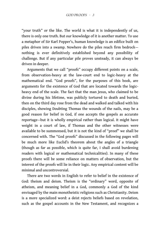"your truth" or the like. The world is what it is independently of us, there is only one truth. But our knowledge of it is another matter. To use a metaphor of Sir Karl Popper's, human knowledge is an edifice built on piles driven into a swamp. Nowhere do the piles reach firm bedrocknothing is ever defnitively established beyond any possibility of challenge. But if any particular pile proves unsteady, it can always be driven in deeper.

Arguments that we call "proofs" occupy diferent points on a scale, from observation-heavy at the law-court end to logic-heavy at the mathematical end. "God proofs", for the purposes of this book, are arguments for the existence of God that are located towards the logicheavy end of the scale. The fact that the man Jesus, who claimed to be divine during his lifetime, was publicly tortured to death and buried, then on the third day rose from the dead and walked and talked with his disciples, showing Doubting Thomas the wounds of the nails, may be a good reason for belief in God, if one accepts the gospels as accurate reportage—but it is wholly empirical rather than logical. It might have weight in a court of law, if Thomas and the other witnesses were available to be summonsed, but it is not the kind of "proof" we shall be concerned with. The "God proofs" discussed in the following pages will be much more like Euclid's theorem about the angles of a triangle (though as far as possible, which is quite far, I shall avoid burdening readers with logical or mathematical technicalities). In many of these proofs there will be some reliance on matters of observation, but the interest of the proofs will lie in their logic. Any empirical content will be minimal and uncontroversial.

There are two words in English to refer to belief in the existence of God: theism and deism. Theism is the "ordinary" word, opposite of atheism, and meaning belief in a God, commonly a God of the kind envisaged by the main monotheistic religions such as Christianity. Deism is a more specialized word: a deist rejects beliefs based on revelation, such as the gospel accounts in the New Testament, and recognizes a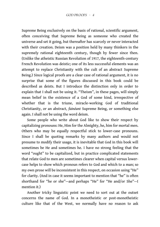Supreme Being exclusively on the basis of rational, scientific argument, often conceiving that Supreme Being as someone who created the universe and set it going, but thereafter has scarcely or never interacted with their creation. Deism was a position held by many thinkers in the supremely rational eighteenth century, though by fewer since then. (Unlike the atheistic Russian Revolution of 1917, the eighteenth-century French Revolution was deistic; one of its less successful elements was an attempt to replace Christianity with the cult of an abstract Supreme Being.) Since logical proofs are a clear case of rational argument, it is no surprise that some of the fgures discussed in this book could be described as deists. But I introduce the distinction only in order to explain that I shall not be using it. "Theism", in these pages, will simply mean belief in the existence of a God of some kind, irrespective of whether that is the triune, miracle-working God of traditional Christianity, or an abstract, *fainéant* Supreme Being, or something else again. I shall not be using the word deism.

Some people who write about God like to show their respect by capitalizing pronouns: He, Him for the Almighty, he, him for mortal men. Others who may be equally respectful stick to lower-case pronouns. Since I shall be quoting remarks by many authors and would not presume to modify their usage, it is inevitable that God in this book will sometimes be He and sometimes he. I have no strong feeling that the word "ought" to be capitalized, but in practice complicated statements that relate God to men are sometimes clearer when capital versus lowercase helps to show which pronoun refers to God and which to a man; so my own prose will be inconsistent in this respect, on occasion using "He" for clarity. (And in case it seems important to mention that "he" is often shorthand for "he or she"—and perhaps "He" for "He and/or She"—I mention it.)

Another tricky linguistic point we need to sort out at the outset concerns the name of God. In a monotheistic or post-monotheistic culture like that of the West, we normally have no reason to ask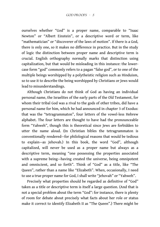ourselves whether "God" is a proper name, comparable to "Isaac Newton" or "Albert Einstein", or a descriptive word or term, like "mathematician" or "discoverer of the laws of motion". If there is a God, there is only one, so it makes no diference in practice. But in the study of logic the distinction between proper name and descriptive term is crucial. English orthography normally marks that distinction using capitalization, but that would be misleading in this instance: the lowercase form "god" commonly refers to a pagan "false god", or to one of the multiple beings worshipped by a polytheistic religion such as Hinduism, so to use it to describe the being worshipped by Christians or Jews would lead to misunderstandings.

Although Christians do not think of God as having an individual personal name, the Israelites of the early parts of the Old Testament, for whom their tribal God was a rival to the gods of other tribes, did have a personal name for him, which he had announced in chapter 3 of Exodus: that was the "tetragrammaton", four letters of the vowel-less Hebrew alphabet. The four letters are thought to have had the pronounceable form "Yahweh", though this is theoretical since Jews are forbidden to utter the name aloud. (In Christian bibles the tetragrammaton is conventionally rendered—for philological reasons that would be tedious to explain—as Jehovah.) In this book, the word "God", although capitalized, will never be used as a proper name but always as a descriptive term, meaning "one possessing the properties associated with a supreme being—having created the universe, being omnipotent and omniscient, and so forth". Think of "God" as a title, like "The Queen", rather than a name like "Elizabeth". When, occasionally, I need to use a true proper name for God, I shall write "Jehovah" or "Yahweh".

Precisely what properties should be regarded as definitive of "God" taken as a title or descriptive term is itself a large question. (And that is not a special problem about the term "God": for instance, there is plenty of room for debate about precisely what facts about her role or status make it correct to identify Elizabeth II as "The Queen".) There might be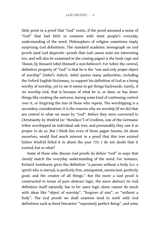little point in a proof that "God" exists, if the proof assumed a sense of "God" that had little in common with most people's everyday understanding of the word. Philosophers of religion sometimes imply surprising God definitions. The standard academic monograph on God proofs (and God disproofs—proofs that God *cannot* exist are interesting too, and will also be examined in the coming pages) is the book *Logic and Theism*, by Howard Sobel (himself a non-believer). For Sobel, the central, defnitive property of "God" is that he is the "one and only *proper* object of worship" (Sobel's italics). Sobel quotes many authorities, including the Oxford English Dictionary, to support his definition of God as a being worthy of worship, yet to me it seems to get things backwards. Surely, if we worship God, that is because of what he is, or does, or has done: things like creating the universe, having some kind of continuing control over it, or forgiving the sins of those who repent. The worshipping is a secondary consideration; it is the reasons why we worship (if we do) that are central to what we mean by "God". Before they were converted to Christianity by Winfrid (or "Boniface") of Crediton, one of the Germanic tribes worshipped an individual oak tree, and presumably they saw it as proper to do so. But I think few even of those pagan Saxons, let alone ourselves, would find much interest in a proof that this tree existed before Winfrid felled it in about the year 723. I do not doubt that it existed, but so what?

Some of those who discuss God proofs do define "God" in ways that closely match the everyday understanding of the word. For instance, Richard Swinburne gives the defnition "a person without a body (i.e. a spirit) who is eternal, is perfectly free, omnipotent, omniscient, perfectly good, and the creator of all things." But the more a God proof is constructed in terms of pure abstract logic, the more abstract its God definition itself naturally has to be-pure logic alone cannot do much with ideas like "object of worship", "forgiver of sins", or "without a body". The God proofs we shall examine tend to work with God defnitions such as René Descartes' "supremely perfect Being", and some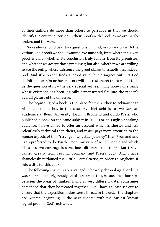of their authors do more than others to persuade us that we should identify the entity concerned in their proofs with "God" as we ordinarily understand the word.

So readers should bear two questions in mind, in connexion with the various God proofs we shall examine. We must ask, first, whether a given proof is valid—whether its conclusion truly follows from its premisses, and whether we accept those premisses; but also, whether we are willing to see the entity whose existence the proof claims to establish as, indeed, God. And if a reader fnds a proof valid, but disagrees with its God definition, for him or her matters will not rest there: there would then be the question of how the very special yet seemingly non-divine being whose existence has been logically demonstrated fits into the reader's overall picture of the universe.

The beginning of a book is the place for the author to acknowledge his intellectual debts. In this case, my chief debt is to two German academics at Bonn University, Joachim Bromand and Guido Kreis, who published a book on the same subject in 2011. For an English-speaking audience. I have aimed to offer an account which is shorter and less relentlessly technical than theirs, and which pays more attention to the human aspects of this "strange intellectual journey" than Bromand and Kreis preferred to do. Furthermore my view of which people and which ideas deserve coverage is sometimes diferent from theirs. But I have gained greatly from reading Bromand and Kreis's book. And I have shamelessly purloined their title, *Gottesbeweise*, in order to Anglicize it into a title for this book.

The following chapters are arranged in broadly chronological order. I was not able to be rigorously consistent about this, because relationships between the ideas of thinkers living at very diferent dates sometimes demanded that they be treated together. But I have at least set out to ensure that the exposition makes sense if read in the order the chapters are printed, beginning in the next chapter with the earliest known logical proof of God's existence.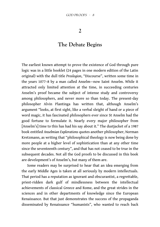**2**

### **The Debate Begins**

The earliest known attempt to prove the existence of God through pure logic was in a little booklet (24 pages in one modern edition of the Latin original) with the dull title *Proslogion*, "Discourse", written some time in the years 1077–8 by a man called Anselm—now Saint Anselm. While it attracted only limited attention at the time, in succeeding centuries Anselm's proof became the subject of intense study and controversy among philosophers, and never more so than today. The present-day philosopher Alvin Plantinga has written that, although Anselm's argument "looks, at frst sight, like a verbal sleight of hand or a piece of word magic, it has fascinated philosophers ever since St Anselm had the good fortune to formulate it. Nearly every major philosopher from [Anselm's] time to this has had his say about it." The dustjacket of a 1987 book entitled *Anselmian Explorations* quotes another philosopher, Norman Kretzmann, as writing that "philosophical theology is now being done by more people at a higher level of sophistication than at any other time since the seventeenth century", and that has not ceased to be true in the subsequent decades. Not all the God proofs to be discussed in this book are development's of Anselm's, but many of them are.

Some readers may be surprised to hear that an idea emerging from the early Middle Ages is taken at all seriously by modern intellectuals. That period has a reputation as ignorant and obscurantist, a regrettable, priest-ridden dark gulf of mindlessness between the intellectual achievements of classical Greece and Rome, and the great strides in the sciences and in other departments of knowledge since the European Renaissance. But that just demonstrates the success of the propaganda disseminated by Renaissance "humanists", who wanted to reach back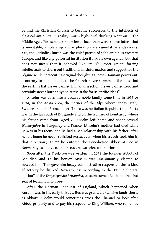behind the Christian Church to become successors to the intellects of classical antiquity. In reality, much high-level thinking went on in the Middle Ages. Yes, scholars knew fewer facts than were known later—that is inevitable, scholarship and exploration are cumulative endeavours. Yes, the Catholic Church was the chief patron of scholarship in Western Europe, and like any powerful institution it had its own agenda; but that does not mean that it behaved like Stalin's Soviet Union, forcing intellectuals to churn out traditional misinformation and support for the régime while persecuting original thought. As James Hannam points out, "contrary to popular belief, the Church never supported the idea that the earth is flat, never banned human dissection, never banned zero and certainly never burnt anyone at the stake for scientific ideas".

Anselm was born into a decayed noble family some time in 1033 or 1034, in the Aosta area, the corner of the Alps where, today, Italy, Switzerland, and France meet. There was no Italian Republic then; Aosta was in the far south of Burgundy and on the frontier of Lombardy, where his father came from. Aged 23 Anselm left home and spent several *Wanderjahre* in Burgundy and France. (Anselm's mother had died while he was in his teens, and he had a bad relationship with his father; after he left home he never revisited Aosta, even when his travels took him in that direction.) At 27 he entered the Benedictine abbey of Bec in Normandy as a novice, and in 1063 he was elected its prior.

Soon after the *Proslogion* was written, in 1078 the founder Abbott of Bec died and—to his horror—Anselm was unanimously elected to succeed him. This gave him heavy administrative responsibilities, a kind of activity he disliked. Nevertheless, according to the 1911 "scholars' edition" of the *Encyclopaedia Britannica*, Anselm turned Bec into "the first seat of learning in Europe".

After the Norman Conquest of England, which happened when Anselm was in his early thirties, Bec was granted extensive lands there; as Abbott, Anselm would sometimes cross the Channel to look after Abbey property and to pay his respects to King William, who remained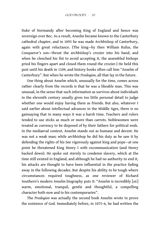Duke of Normandy after becoming King of England and hence was sovereign over Bec. As a result, Anselm became known to the Canterbury cathedral chapter, and in 1093 he was made Archbishop of Canterbury, again with great reluctance. (The king—by then William Rufus, the Conqueror's son—thrust the archbishop's crozier into his hand, and when he clenched his fist to avoid accepting it, the assembled bishops pried his fngers apart and closed them round the crozier.) He held this post until his death in 1109, and history books often call him "Anselm of Canterbury". But when he wrote the *Proslogion*, all that lay in the future.

One thing about Anselm which, unusually for the time, comes across rather clearly from the records is that he was a likeable man. This was unusual, in the sense that such information as survives about individuals in the eleventh century usually gives too little personal detail to judge whether one would enjoy having them as friends. But also, whatever I said earlier about intellectual advances in the Middle Ages, there is no gainsaying that in many ways it was a harsh time. Teachers and rulers tended to use sticks as much or more than carrots. Noblewomen were treated as currency to be disposed of by their fathers for political ends. In the mediaeval context, Anselm stands out as humane and decent. He was not a weak man; while archbishop he did his duty as he saw it by defending the rights of his See vigorously against king and pope—at one point he threatened King Henry I with excommunication (and Henry backed down). He spoke out sternly to condemn slavery, which at the time still existed in England, and although he had no authority to end it, his attacks are thought to have been infuential in the practice fading away in the following decades. But despite his ability to be tough where circumstances required toughness, as one reviewer of Richard Southern's modern Anselm biography puts it: "Anselm is incredibly [*sic*] warm, emotional, tranquil, gentle and thoughtful, a compelling character both now and to his contemporaries".

The *Proslogion* was actually the second book Anselm wrote to prove the existence of God. Immediately before, in 1075–6, he had written the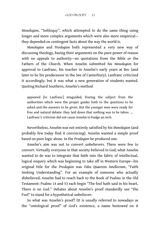*Monologion*, "Soliloquy", which attempted to do the same thing using longer and more complex arguments which were also more empirical they depended on contingent facts about the way the world is.

*Monologion* and *Proslogion* both represented a very new way of discussing theology, basing their arguments on the pure power of reason with no appeals to authority—no quotations from the Bible or the Fathers of the Church. When Anselm submitted his *Monologion* for approval to Lanfranc, his teacher in Anselm's early years at Bec (and later to be his predecessor in the See of Canterbury), Lanfranc criticized it accordingly; but it was what a new generation of students wanted. Quoting Richard Southern, Anselm's method

appeared [to Lanfranc] misguided, freeing the subject from the authorities which were the proper guides both to the questions to be asked and the answers to be given. But the younger men were ready for free and natural debate: they laid down that nothing was to be taboo. … Lanfranc's criticism did not cause Anselm to budge an inch.

Nevertheless, Anselm was not entirely satisfed by his *Monologion* (and probably few today find it convincing). Anselm wanted a simple proof based on pure logic alone. In the *Proslogion* he produced one.

Anselm's aim was not to convert unbelievers. There were few to convert. Virtually everyone in that society believed in God; what Anselm wanted to do was to integrate that faith into the fabric of intellectual, logical enquiry which was beginning to take off in Western Europe-his original title for the *Proslogion* was *Fides Quaerens Intellectum*, "Faith Seeking Understanding". For an example of someone who actually disbelieved, Anselm had to reach back to the Book of Psalms in the Old Testament: Psalms 14 and 53 each begin "The fool hath said in his heart, There is no God." Debates about Anselm's proof standardly use "the Fool" to stand for a hypothetical unbeliever.

So what was Anselm's proof? (It is usually referred to nowadays as the "ontological proof" of God's existence, a name bestowed on it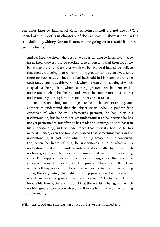centuries later by Immanuel Kant—Anselm himself did not use it.) The kernel of the proof is in chapter 2 of the *Proslogion*. I show it here in the translation by Sidney Norton Deane, before going on to restate it in 21stcentury terms:

And so, Lord, do thou, who dost give understanding to faith, give me, so far as thou knowest it to be proftable, to understand that thou art as we believe; and that thou art that which we believe. And indeed, we believe that thou art a being than which nothing greater can be conceived. Or is there no such nature, since the fool hath said in his heart, there is no God? But, at any rate, this very fool, when he hears of this being of which I speak—a being than which nothing greater can be conceived understands what he hears, and what he understands is in his understanding; although he does not understand it to exist.

For, it is one thing for an object to be in the understanding, and another to understand that the object exists. When a painter first conceives of what he will afterwards perform, he has it in his understanding, but he does not yet understand it to be, because he has not yet performed it. But after he has made the painting, he both has it in his understanding, and he understands that it exists, because he has made it. Hence, even the fool is convinced that something exists in the understanding, at least, than which nothing greater can be conceived. For, when he hears of this, he understands it. And whatever is understood, exists in the understanding. And assuredly that, than which nothing greater can be conceived, cannot exist in the understanding alone. For, suppose it exists in the understanding alone: then it can be conceived to exist in reality; which is greater. Therefore, if that, than which nothing greater can be conceived, exists in the understanding alone, the very being, than which nothing greater can be conceived, is one, than which a greater can be conceived. But obviously this is impossible. Hence, there is no doubt that there exists a being, than which nothing greater can be conceived, and it exists both in the understanding and in reality.

With this proof Anselm was very happy. He wrote in chapter 4: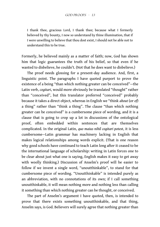I thank thee, gracious Lord, I thank thee; because what I formerly believed by thy bounty, I now so understand by thine illumination, that if I were unwilling to believe that thou dost exist, I should not be able not to understand this to be true.

Formerly, he believed mainly as a matter of faith; now, God has shown him that logic guarantees the truth of his belief, so that even if he wanted to disbelieve, he couldn't. (Not that he does want to disbelieve.)

The proof needs glossing for a present-day audience. And, first, a linguistic point. The paragraphs I have quoted purport to prove the existence of a being "than which nothing greater can be conceived"—the Latin verb, *cogitari*, would more obviously be translated "thought" rather than "conceived", but this translator preferred "conceived" probably because it takes a direct object, whereas in English we "think *about* (or *of*) a thing" rather than "think a thing". The clause "than which nothing greater can be conceived" is a cumbersome piece of wording, and it is a clause that is going to crop up a lot in discussions of the ontological proof, often embedded within sentences that are themselves complicated. In the original Latin, *quo maius nihil cogitari potest*, it is less cumbersome—Latin grammar has machinery lacking in English that makes logical relationships among words explicit. (That is one reason why good schools have continued to teach Latin long after it ceased to be the international language of scholarship: writing in Latin forces one to be clear about just what one is saying, English makes it easy to get away with woolly thinking.) Discussion of Anselm's proof will be easier to follow if we invent a single word, "unoutthinkable", to stand for that cumbersome piece of wording. "Unoutthinkable" is intended purely as an abbreviation, with no connotations of its own; if I call something unoutthinkable, it will mean nothing more and nothing less than calling it something than which nothing greater can be thought, or conceived.

The part of Anselm's argument I have quoted, then, is intended to prove that there exists something unoutthinkable, and that thing, Anselm says, is God. Believers will surely agree that nothing greater than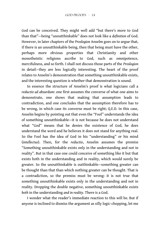God can be conceived. They might well add "but there's more to God than that"—being "unoutthinkable" does not look like a *defnition* of God. However, in later chapters of the *Proslogion* Anselm goes on to argue that, if there is an unoutthinkable being, then that being must have the other, perhaps more obvious properties that Christianity and other monotheistic religions ascribe to God, such as omnipotence, mercifulness, and so forth. I shall not discuss those parts of the *Proslogion* in detail—they are less logically interesting. The heart of the proof relates to Anselm's demonstration that something unoutthinkable exists, and the interesting question is whether that demonstration is sound.

In essence the structure of Anselm's proof is what logicians call a *reductio ad absurdum*: one frst assumes the converse of what one aims to demonstrate, one shows that making that assumption leads to contradiction, and one concludes that the assumption therefore has to be wrong, in which case its converse must be right; Q.E.D. In this case, Anselm begins by pointing out that even the "Fool" understands the idea of something unoutthinkable—it is not because he does not understand what "God" means that he denies the existence of God, he does understand the word and he believes it does not stand for anything real. So the Fool has the idea of God in his "understanding" or his mind (*intellectus*). Then, for the *reductio*, Anselm assumes the premiss "Something unoutthinkable exists only in the understanding and not in reality". But in that case one could conceive of something like it but that exists both in the understanding and in reality, which would surely be greater. So the unoutthinkable is outthinkable—something greater can be thought than that than which nothing greater can be thought. That is a contradiction, so the premiss must be wrong: it is not true that something unoutthinkable exists only in the understanding and not in reality. Dropping the double negative, something unoutthinkable exists *both* in the understanding *and in reality*. There is a God.

I wonder what the reader's immediate reaction to this will be. But if anyone is inclined to dismiss the argument as silly logic-chopping, let me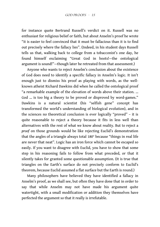for instance quote Bertrand Russell's verdict on it. Russell was no enthusiast for religious belief or faith, but about Anselm's proof he wrote "it is easier to feel convinced that it must be fallacious than it is to fnd out precisely where the fallacy lies". (Indeed, in his student days Russell tells us that, walking back to college from a tobacconist's one day, he found himself exclaiming "Great God in boots!—the ontological argument is sound!"—though later he retreated from that assessment.)

Anyone who wants to reject Anselm's conclusion about the existence of God does need to identify a specific fallacy in Anselm's logic. It isn't enough just to dismiss his proof as playing with words, as the wellknown atheist Richard Dawkins did when he called the ontological proof "a remarkable example of the elevation of words above their station. … God … is too big a theory to be proved or disproved by word-games." Dawkins is a natural scientist (his "selfish gene" concept has transformed the world's understanding of biological evolution), and in the sciences no theoretical conclusion is ever logically "proved" – it is quite reasonable to reject a theory because it fits in less well than alternatives with the rest of what we know about reality. But to reject a *proof* on those grounds would be like rejecting Euclid's demonstration that the angles of a triangle always total 180° because "things in real life are never that neat". Logic has an iron force which cannot be escaped so easily. If you want to disagree with Euclid, you have to show that some step in his reasoning fails to follow from what preceded, or that it silently takes for granted some questionable assumption. (It is true that triangles on the Earth's surface do not precisely conform to Euclid's theorem, because Euclid assumed a flat surface but the Earth is round.)

Many philosophers have believed they have identifed a fallacy in Anselm's proof, as we shall see, but often they have done that in order to say that while Anselm may not have made his argument quite watertight, with a small modification or addition they themselves have perfected the argument so that it really is irrefutable.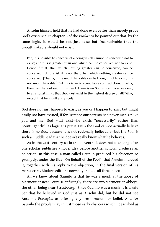Anselm himself held that he had done even better than merely prove God's existence: in chapter 3 of the *Proslogion* he pointed out that, by the same logic, it would be not just false but inconceivable that the unoutthinkable should not exist.

For, it is possible to conceive of a being which cannot be conceived not to exist; and this is greater than one which can be conceived not to exist. Hence if that, than which nothing greater can be conceived, can be conceived not to exist, it is not that, than which nothing greater can be conceived. [That is, if the unoutthinkable can be thought not to exist, it is not unoutthinkable.] But this is an irreconcilable contradiction. … Why, then has the fool said in his heart, there is no God, since it is so evident, to a rational mind, that thou dost exist in the highest degree of all? Why, except that he is dull and a fool?

God does not just happen to exist, as you or I happen to exist but might easily not have existed, if for instance our parents had never met. Unlike you and me, God *must* exist—he exists "necessarily" rather than "contingently", as logicians put it. Even the Fool cannot actually believe there is no God, because it is not rationally believable—but the Fool is such a muddlehead that he doesn't really know what he believes.

As in the 21st century so in the eleventh, it does not take long after one scholar publishes a novel idea before another scholar produces an objection. In this case, a man called Gaunilo produced his objection so promptly, under the title "On Behalf of the Fool", that Anselm included it, together with his reply to the objection, in the final version of his manuscript. Modern editions normally include all three pieces.

All we know about Gaunilo is that he was a monk at the abbey of Marmoutier near Tours. (Confusingly, there are two Marmoutier Abbeys, the other being near Strasbourg.) Since Gaunilo was a monk it is a safe bet that he believed in God just as Anselm did, but he did not see Anselm's Proslogion as offering any fresh reason for belief. And for Gaunilo the problem lay in just those early chapters which I described as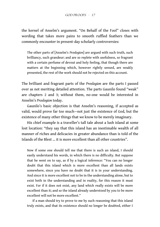the kernel of Anselm's argument. "On Behalf of the Fool" closes with wording that takes more pains to smooth ruffled feathers than we commonly encounter in present-day scholarly controversies:

The other parts of [Anselm's *Proslogion*] are argued with such truth, such brilliancy, such grandeur; and are so replete with usefulness, so fragrant with a certain perfume of devout and holy feeling, that though there are matters at the beginning which, however rightly sensed, are weakly presented, the rest of the work should not be rejected on this account.

The brilliant and fragrant parts of the *Proslogion* are the parts I passed over as not meriting detailed attention. The parts Gaunilo found "weak" are chapters 2 and 3; without them, no-one would be interested in Anselm's *Proslogion* today.

Gaunilo's basic objection is that Anselm's reasoning, if accepted as valid, would prove far too much—not just the existence of God, but the existence of many other things that we know to be merely imaginary.

His chief example is a traveller's tall tale about a lush island at some lost location: "they say that this island has an inestimable wealth of all manner of riches and delicacies in greater abundance than is told of the Islands of the Blest … it is more excellent than all other countries".

Now if some one should tell me that there is such an island, I should easily understand his words, in which there is no difficulty. But suppose that he went on to say, as if by a logical inference: "You can no longer doubt that this island which is more excellent than all lands exists somewhere, since you have no doubt that it is in your understanding. And since it is more excellent not to be in the understanding alone, but to exist both in the understanding and in reality, for this reason it must exist. For if it does not exist, any land which really exists will be more excellent than it; and so the island already understood by you to be more excellent will not be more excellent."

If a man should try to prove to me by such reasoning that this island truly exists, and that its existence should no longer be doubted, either I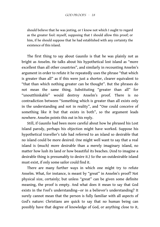should believe that he was jesting, or I know not which I ought to regard as the greater fool: myself, supposing that I should allow this proof; or him, if he should suppose that he had established with any certainty the existence of this island.

The first thing to say about Gaunilo is that he was plainly not as bright as Anselm. He talks about his hypothetical lost island as "more excellent than all other countries", and similarly in recounting Anselm's argument in order to refute it he repeatedly uses the phrase "that which is greater than all" as if this were just a shorter, clearer equivalent to "that than which nothing greater can be thought". But the phrases do not mean the same thing. Substituting "greater than all" for "unoutthinkable" would destroy Anselm's proof. There is no contradiction between "Something which is greater than all exists only in the understanding and not in reality", and "One could conceive of something like it but that exists in both", so the argument leads nowhere. Anselm points this out in his reply.

Still, if Gaunilo had been more careful about how he phrased his Lost Island parody, perhaps his objection might have worked. Suppose his hypothetical traveller's tale had referred to an island so desirable that no island could be more desired. One might well want to say that a real island is (much) more desirable than a merely imaginary island, no matter how lush its land or how beautiful its beaches. (And to imagine a desirable thing is presumably to desire it.) So the un-outdesirable island must exist, if only some sailor could find it.

There are many further ways in which one might try to refute Anselm. What, for instance, is meant by "great" in Anselm's proof? Not physical size, certainly; but unless "great" can be given some defnite meaning, the proof is empty. And what does it mean to say that God exists in the Fool's understanding—or in a believer's understanding? It surely cannot mean that the person is fully familiar with all aspects of God's nature: Christians are quick to say that no human being can possibly have that degree of knowledge of God, or anything close to it,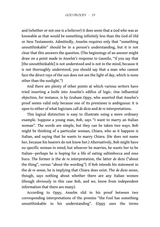and (whether or not one is a believer) it does seem that a God who was as knowable as that would be something infnitely less than the God of Old or New Testaments. Admittedly, Anselm requires only that "something unoutthinkable" should be in a person's understanding, but it is not clear that this answers the question. (The beginnings of an answer might draw on a point made in Anselm's response to Gaunilo, "if you say that [the unoutthinkable] is not understood and is not in the mind, because it is not thoroughly understood, you should say that a man who cannot face the direct rays of the sun does not see the light of day, which is none other than the sunlight.")

And there are plenty of other points at which various writers have tried inserting a knife into Anselm's edifice of logic. One influential objection, for instance, is by Graham Oppy, who asserted that Anselm's proof seems valid only because one of its premisses is ambiguous: it is open to either of what logicians call *de dicto* and *de re* interpretations.

This logical distinction is easy to illustrate using a more ordinary example. Suppose a young man, Bob, says "I want to marry an Italian woman". The words are simple, but they can be taken two ways. Bob might be thinking of a particular woman, Chiara, who as it happens is Italian, and saying that he wants to marry Chiara. (He does not name her, because his hearers do not know her.) Alternatively, Bob might have no specifc woman in mind, but whoever he marries, he wants her to be Italian—perhaps he is hoping for a life of eating saltimbocca and osso buco. The former is the *de re* interpretation, the latter *de dicto* ("about the thing", versus "about the wording"). If Bob intends his statement in the *de re* sense, he is implying that Chiara does exist. The *de dicto* sense, though, says nothing about whether there are any Italian women (though obviously in this case Bob, and we, know from independent information that there are many).

According to Oppy, Anselm slid in his proof between two corresponding interpretations of the premiss "the Fool has something unoutthinkable in his understanding". (Oppy uses the terms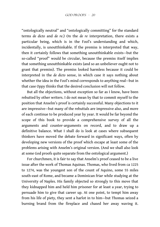"ontologically neutral" and "ontologically committing" for the standard terms *de dicto* and *de re*.) On the *de re* interpretation, there exists a particular being, which is in the Fool's understanding and which, incidentally, is unoutthinkable. If the premiss is interpreted that way, then it certainly follows that something unoutthinkable exists—but the so-called "proof" would be circular, because the premiss itself implies that something unoutthinkable exists (and so an unbeliever ought not to grant that premiss). The premiss looked harmless because it could be interpreted in the *de dicto* sense, in which case it says nothing about whether the idea in the Fool's mind corresponds to anything real—but in that case Oppy thinks that the desired conclusion will not follow.

But all the objections, without exception so far as I know, have been rebutted by other writers. I do not mean by that to commit myself to the position that Anselm's proof is certainly successful. Many objections to it are impressive—but many of the rebuttals are impressive also, and more of each continue to be produced year by year. It would be far beyond the scope of this book to provide a comprehensive survey of all the arguments and counter-arguments on record, and to draw up a defnitive balance. What I shall do is look at cases where subsequent thinkers have moved the debate forward in significant ways, often by developing new versions of the proof which escape at least some of the problems arising with Anselm's original version. (And we shall also look at some God proofs quite separate from the ontological argument.)

For churchmen, it is fair to say that Anselm's proof ceased to be a live issue after the work of Thomas Aquinas. Thomas, who lived from ca 1225 to 1274, was the youngest son of the count of Aquino, some 55 miles south-east of Rome, and became a Dominican friar while studying at the University of Naples. His family objected so strongly to this move that they kidnapped him and held him prisoner for at least a year, trying to persuade him to give that career up. At one point, to tempt him away from his life of piety, they sent a harlot in to him—but Thomas seized a burning brand from the freplace and chased her away waving it.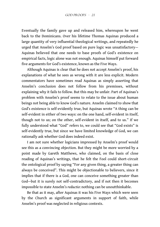Eventually the family gave up and released him, whereupon he went back to the Dominicans. Over his lifetime Thomas Aquinas produced a large quantity of very infuential theological writings, and repeatedly he urged that Anselm's God proof based on pure logic was unsatisfactory— Aquinas believed that one needs to base proofs of God's existence on empirical facts, logic alone was not enough. Aquinas himself put forward five arguments for God's existence, known as the Five Ways.

Although Aquinas is clear that he does not accept Anselm's proof, his explanations of what he sees as wrong with it are less explicit. Modern commentators have sometimes read Aquinas as simply asserting that Anselm's conclusion does not follow from his premisses, without explaining why it fails to follow. But this may be unfair. Part of Aquinas's problem with Anselm's proof seems to relate to the issue about human beings not being able to know God's nature. Anselm claimed to show that God's existence is self-evidently true, but Aquinas wrote "A thing can be self-evident in either of two ways: on the one hand, self-evident in itself, though not to us; on the other, self-evident in itself, and to us." If we fully understood what "God" refers to, we could see that "God exists" is self-evidently true, but since we have limited knowledge of God, we can rationally ask whether God does indeed exist.

I am not sure whether logicians impressed by Anselm's proof would see this as a convincing objection. But they might be more worried by a point made by Gareth Matthews, who claimed, on the basis of close reading of Aquinas's writings, that he felt the Fool could short-circuit the ontological proof by saying "For any given thing, a greater thing can always be conceived". This might be objectionable to believers, since it implies that if there is a God, one can conceive something greater than God—but it is surely not self-contradictory, and if not then it becomes impossible to state Anselm's *reductio*: nothing can be unoutthinkable.

Be that as it may, after Aquinas it was his Five Ways which were seen by the Church as significant arguments in support of faith, while Anselm's proof was neglected in religious contexts.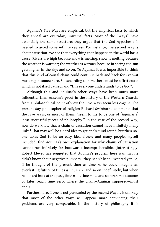Aquinas's Five Ways are empirical, but the empirical facts to which they appeal are everyday, universal facts. Most of the "Ways" have essentially the same structure: they argue that the God hypothesis is needed to avoid some infinite regress. For instance, the second Way is about causation. We see that everything that happens in the world has a cause. Rivers are high because snow is melting; snow is melting because the weather is warmer; the weather is warmer because in spring the sun gets higher in the sky; and so on. To Aquinas it was impossible to think that this kind of causal chain could continue back and back for ever—it must begin somewhere. So, according to him, there must be a first cause which is not itself caused, and "this everyone understands to be God".

Although this and Aquinas's other Ways have been much more infuential than Anselm's proof in the history of the Western Church, from a philosophical point of view the Five Ways seem less cogent. The present-day philosopher of religion Richard Swinburne comments that the Five Ways, or most of them, "seem to me to be one of [Aquinas's] least successful pieces of philosophy." In the case of the second Way, how do we know that a chain of causation cannot have infinitely many links? That may well be a hard idea to get one's mind round, but then noone takes God to be an easy idea either; and many people, myself included, fnd Aquinas's own explanation for why chains of causation cannot run infnitely far backwards incomprehensible. (Interestingly, Robert Meyer has suggested that Aquinas's problem here was that he didn't know about negative numbers—they hadn't been invented yet. So, if he thought of the present time as time *n*, he could imagine an everlasting future of times  $n + 1$ ,  $n + 2$ , and so on indefinitely, but when he looked back at the past, time *n –* 1, time *n –* 2, and so forth must sooner or later reach time zero, where the chain—Aquinas supposed—must end.)

Furthermore, if one is not persuaded by the second Way, it is unlikely that most of the other Ways will appear more convincing—their problems are very comparable. In the history of philosophy it is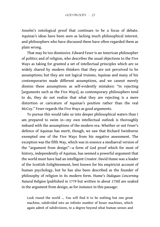Anselm's ontological proof that continues to be a focus of debate. Aquinas's ideas have been seen as lacking much philosophical interest, and philosophers who have discussed them have often regarded them as plain wrong.

That may be too dismissive. Edward Feser is an American philosopher of politics and of religion, who describes the usual objections to the Five Ways as taking for granted a set of intellectual principles which are so widely shared by modern thinkers that they are not perceived to be assumptions; but they are not logical truisms, Aquinas and many of his contemporaries made diferent assumptions, and we cannot merely dismiss these assumptions as self-evidently mistaken: "In rejecting [arguments such as the Five Ways], as contemporary philosophers tend to do, they do not realize that what they are rejecting is a mere distortion or caricature of Aquinas's position rather than the real McCoy." Feser regards the Five Ways as good arguments.

To pursue this would take us into deeper philosophical waters than I am prepared to swim in—my own intellectual outlook is thoroughly imbued with the assumptions of the modern era. Whether or not Feser's defence of Aquinas has merit, though, we saw that Richard Swinburne exempted one of the Five Ways from his negative assessment. The exception was the ffth Way, which was in essence a mediaeval version of the "argument from design"—a form of God proof which for most of history, independently of Aquinas, has seemed a powerful argument that the world must have had an intelligent Creator. David Hume was a leader of the Scottish Enlightenment, best known for his empiricist account of human psychology, but he has also been described as the founder of philosophy of religion in its modern form. Hume's *Dialogues Concerning Natural Religion* (published in 1779 but written in about 1750) are soaked in the argument from design, as for instance in this passage:

Look round the world ... You will find it to be nothing but one great machine, subdivided into an infnite number of lesser machines, which again admit of subdivisions, to a degree beyond what human senses and